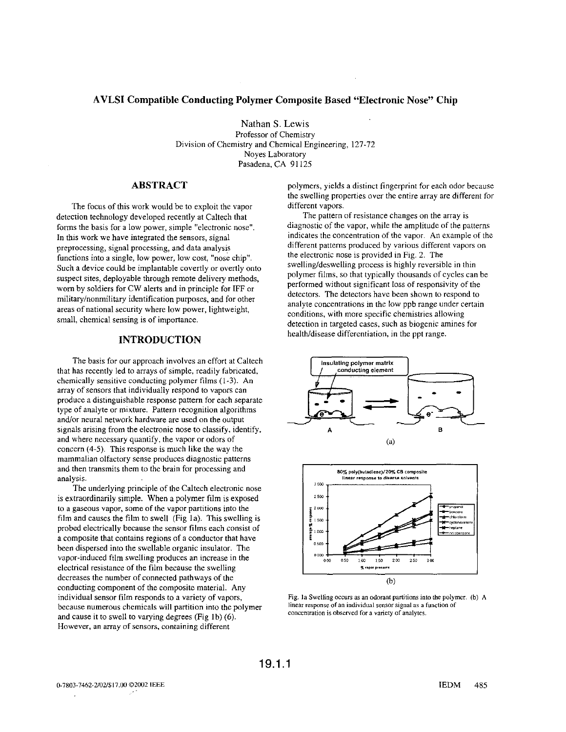## A VLSI Compatible Conducting Polymer Composite Based "Electronic Nose" Chip

Nathan S. Lewis Professor of Chemistry Division of Chemistry and Chemical Engineering, 127-72 Noyes Laboratory Pasadena, CA 91125

## ABSTRACT

The focus of this work would be to exploit the vapor detection technology developed recently at Caitech that forms the basis for a low power, simple "electronic nose". In this work we have integrated the sensors, signal preprocessing, signal processing, and data analysis functions into a single, low power, low cost, "nose chip". Such a device could be implantable covertly or overtly onto suspect sites, deployable through remote delivery methods, worn by soldiers for CW alerts and in principle for IFF or military/nonmilitary identification purposes, and for other areas of national security where low power, lightweight, small, chemical sensing is of importance.

### INTRODUCTION

The basis for our approach involves an effort at Caltech that has recently led to arrays of simple, readily fabricated, chemically sensitive conducting polymer films (1-3). An array of sensors that individually respond to vapors can produce a distinguishable response pattern for each separate type of analyte or mixture. Pattern recognition algorithms and/or neural network hardware are used on the output signals arising from the electronic nose to classify, identify, and where necessary quantify, the vapor or odors of concern (4-5). This response is much like the way the mammalian olfactory sense produces diagnostic patterns and then transmits them to the brain for processing and analysis.

The underlying principle of the Caltech electronic nose is extraordinarily simple. When a polymer film is exposed to a gaseous vapor, some of the vapor partitions into the film and causes the film to swell (Fig la). This swelling is probed electrically because the sensor films each consist of a composite that contains regions of a conductor that have been dispersed into the swellable organic insulator. The vapor-induced film swelling produces an increase in the electrical resistance of the film because the swelling decreases the number of connected pathways of the conducting component of the composite material. Any individual sensor film responds to a variety of vapors, because numerous chemicals will partition into the polymer and cause it to swell to varying degrees (Fig Ib) (6). However, an array of sensors, containing different

polymers, yields a distinct fingerprint for each odor because the swelling properties over the entire array are different for different vapors.

The pattern of resistance changes on the array is diagnostic of the vapor, while the amplitude of the patterns indicates the concentration of the vapor. An example of the different patterns produced by various different vapors on the electronic nose is provided in Fig. 2. The swelling/deswelling process is highly reversible in thin polymer films, so that typically thousands of cycles can be performed without significant loss of responsivity of the detectors. The detectors have been shown to respond to analyte concentrations in the low ppb range under certain conditions, with more specific chemistries allowing detection in targeted cases, such as biogenic amines for health/disease differentiation, in the ppt range.





Fig. la Swelling occurs as an odorant partitions into the polymer. (b) A linear response of an individual sensor signal as a function of concentration is observed for a variety of analytes.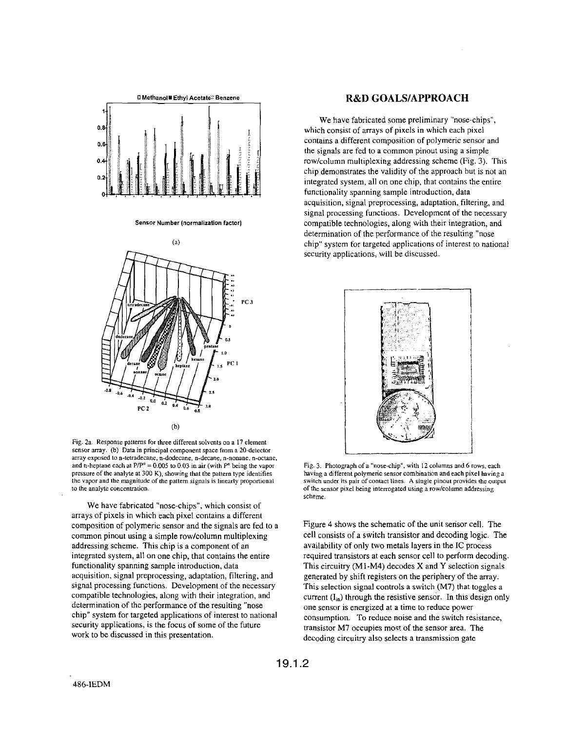

Sensor Number (normalization factor)



Fig. 2a. Response patterns for three different solvents on a 17 element sensor array. (b) Data in principal component space from a 20-detector array exposed to n-tetradecane, n-dodecane, n-decane, n-nonane, n-octane, and n-heptane each at  $P/P^{\circ} = 0.005$  to 0.03 in air (with  $P^{\circ}$  being the vapor pressure of the analyte at  $300 K$ ), showing that the pattern type identifies the vapor and the magnitude of the pattern signals is linearly proportional to the analyte concentration.

We have fabricated "nose-chips", which consist of arrays of pixels in which each pixel contains a different composition of polymeric sensor and the signals are fed to a common pinout using a simple row/column multiplexing addressing scheme. This chip is a component of an integrated system, all on one chip, that contains the entire functionality spanning sample introduction, data acquisition, signal preprocessing, adaptation, filtering, and signal processing functions. Development of the necessary compatible technologies, along with their integration, and determination of the performance of the resulting "nose chip" system for targeted applications of interest to national security applications, is the focus of some of the future work to be discussed in this presentation.

# R&D GOALS/APPROACH

We have fabricated some preliminary "nose-chips", which consist of arrays of pixels in which each pixel contains a different composition of polymeric sensor and the signals are fed to a common pinout using a simple row/column multiplexing addressing scheme (Fig. 3). This chip demonstrates the validity of the approach but is not an integrated system, all on one chip, that contains the entire functionality spanning sample introduction, data acquisition, signal preprocessing, adaptation, filtering, and signal processing functions. Development of the necessary compatible technologies, along with their integration, and determination of the performance of the resulting "nose chip" system for targeted applications of interest to national security applications, will be discussed.



Fig. 3. Photograph of a "nose-chip", with 12 columns and 6 rows, each having a different polymeric sensor combination and each pixel having a switch under its pair of contact lines. A single pinout provides the output of the sensor pixel being interrogated using a row/column addressing scheme.

Figure 4 shows the schematic of the unit serisor cell. The cell consists of a switch transistor and decoding logic. The availability of only two metals layers in the IC process required transistors at each sensor cell to perform decoding. This circuitry  $(M1-M4)$  decodes X and Y selection signals generated by shift registers on the periphery of the array. This selection signal controls a switch (M7) that toggles a current  $(I_{in})$  through the resistive sensor. In this design only one sensor is energized at a time to reduce power consumption. To reduce noise and the switch resistance, transistor M7 occupies most of the sensor area. The decoding circuitry also selects a transmission gate

19.1.2